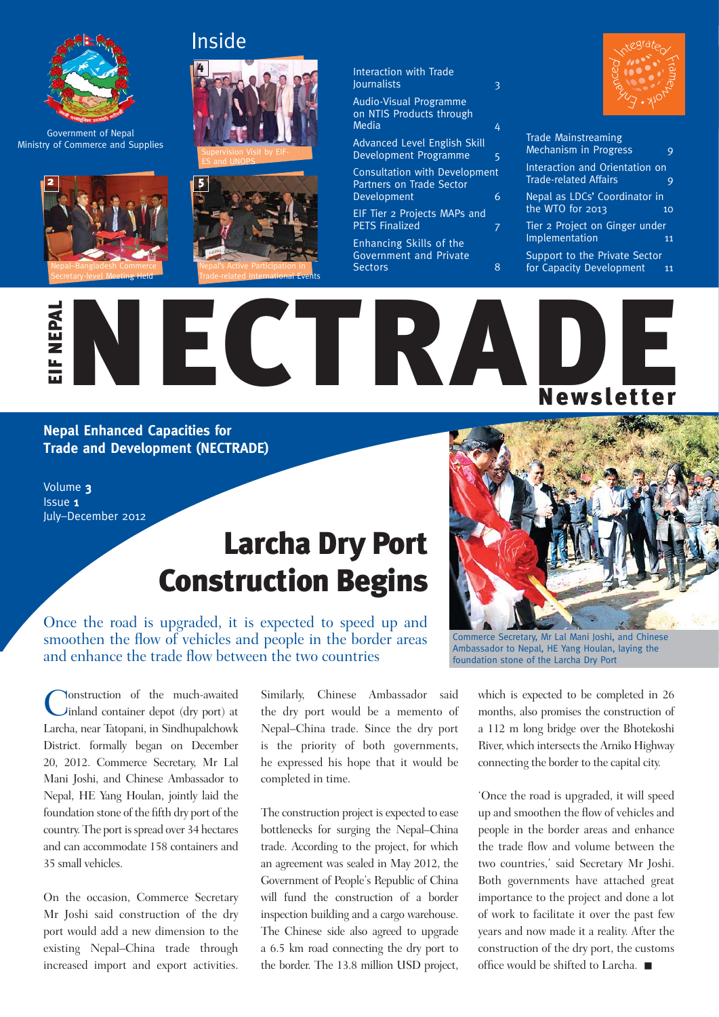

Government of Nepal Ministry of Commerce and Supplies





4





Interaction with Trade **Journalists** 

Audio-Visual Programme on NTIS Products through Media 4

Advanced Level English Skill Development Programme 5

Consultation with Development Partners on Trade Sector Development 6

EIF Tier 2 Projects MAPs and PETS Finalized 7

Enhancing Skills of the Government and Private Sectors 8



Trade Mainstreaming Mechanism in Progress 9 Interaction and Orientation on Trade-related Affairs 9 Nepal as LDCs' Coordinator in the WTO for 2013 10 Tier 2 Project on Ginger under Implementation 11 Support to the Private Sector for Capacity Development 11

# THE THE SAME REPAIR FOR SHELF NEPAL BRANCH<br>Trade and Devel Volume 3<br>Ussue 1<br>July–December 2012 ECTRA **Newsletter**

#### **Nepal Enhanced Capacities for Trade and Development (NECTRADE)**

Volume 3 Issue 1

### Larcha Dry Port Construction Begins



Once the road is upgraded, it is expected to speed up and smoothen the flow of vehicles and people in the border areas and enhance the trade flow between the two countries

Construction of the much-awaited<br>
inland container depot (dry port) at Larcha, near Tatopani, in Sindhupalchowk District. formally began on December 20, 2012. Commerce Secretary, Mr Lal Mani Joshi, and Chinese Ambassador to Nepal, HE Yang Houlan, jointly laid the foundation stone of the fifth dry port of the country. The port is spread over 34 hectares and can accommodate 158 containers and 35 small vehicles.

On the occasion, Commerce Secretary Mr Joshi said construction of the dry port would add a new dimension to the existing Nepal–China trade through increased import and export activities. Similarly, Chinese Ambassador said the dry port would be a memento of Nepal–China trade. Since the dry port is the priority of both governments, he expressed his hope that it would be completed in time.

The construction project is expected to ease bottlenecks for surging the Nepal–China trade. According to the project, for which an agreement was sealed in May 2012, the Government of People's Republic of China will fund the construction of a border inspection building and a cargo warehouse. The Chinese side also agreed to upgrade a 6.5 km road connecting the dry port to the border. The 13.8 million USD project,

Commerce Secretary, Mr Lal Mani Joshi, and Chinese Ambassador to Nepal, HE Yang Houlan, laying the foundation stone of the Larcha Dry Port

which is expected to be completed in 26 months, also promises the construction of a 112 m long bridge over the Bhotekoshi River, which intersects the Arniko Highway connecting the border to the capital city.

'Once the road is upgraded, it will speed up and smoothen the flow of vehicles and people in the border areas and enhance the trade flow and volume between the two countries,' said Secretary Mr Joshi. Both governments have attached great importance to the project and done a lot of work to facilitate it over the past few years and now made it a reality. After the construction of the dry port, the customs office would be shifted to Larcha.  $\blacksquare$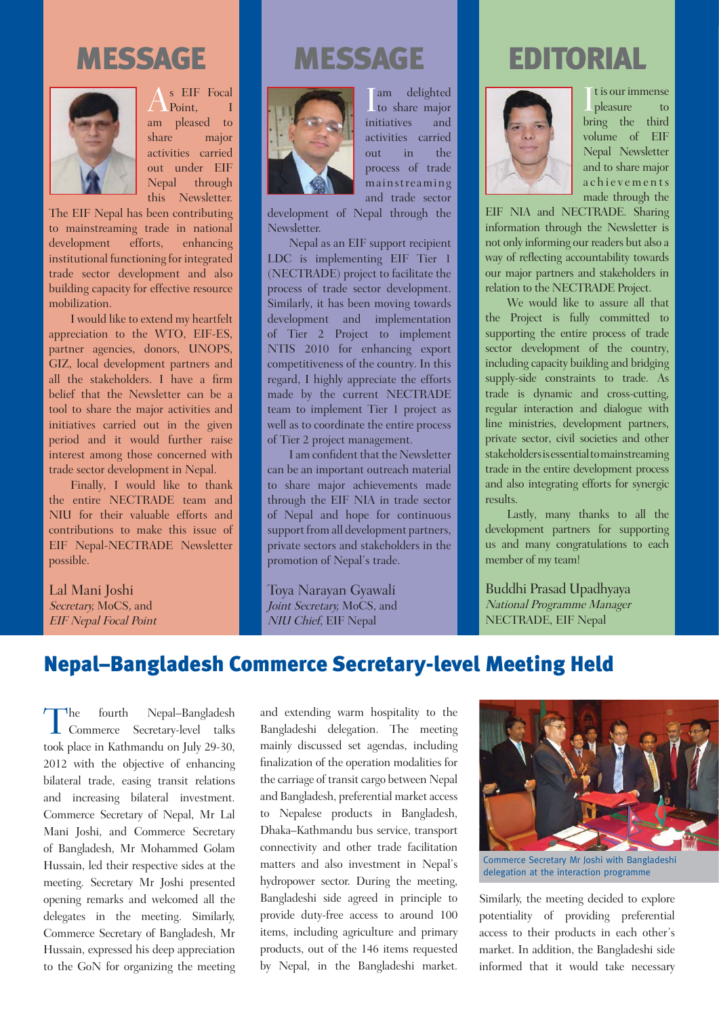

As EIF Focal<br>am pleased to Point. share major activities carried out under EIF Nepal through this Newsletter.

The EIF Nepal has been contributing to mainstreaming trade in national development efforts, enhancing institutional functioning for integrated trade sector development and also building capacity for effective resource mobilization.

I would like to extend my heartfelt appreciation to the WTO, EIF-ES, partner agencies, donors, UNOPS, GIZ, local development partners and all the stakeholders. I have a firm belief that the Newsletter can be a tool to share the major activities and initiatives carried out in the given period and it would further raise interest among those concerned with trade sector development in Nepal.

Finally, I would like to thank the entire NECTRADE team and NIU for their valuable efforts and contributions to make this issue of EIF Nepal-NECTRADE Newsletter possible.

Lal Mani Joshi Secretary, MoCS, and EIF Nepal Focal Point



I am delighted<br>to share major initiatives and activities carried out in the process of trade mainstreaming and trade sector

development of Nepal through the Newsletter.

Nepal as an EIF support recipient LDC is implementing EIF Tier 1 (NECTRADE) project to facilitate the process of trade sector development. Similarly, it has been moving towards development and implementation of Tier 2 Project to implement NTIS 2010 for enhancing export competitiveness of the country. In this regard, I highly appreciate the efforts made by the current NECTRADE team to implement Tier 1 project as well as to coordinate the entire process of Tier 2 project management.

I am confident that the Newsletter can be an important outreach material to share major achievements made through the EIF NIA in trade sector of Nepal and hope for continuous support from all development partners, private sectors and stakeholders in the promotion of Nepal's trade.

Toya Narayan Gyawali Joint Secretary, MoCS, and NIU Chief, EIF Nepal

#### MESSAGE MESSAGE EDITORIAL



It is our immense<br>pleasure to<br>bring the third t is our immense pleasure to volume of EIF Nepal Newsletter and to share major a chievements made through the

EIF NIA and NECTRADE. Sharing information through the Newsletter is not only informing our readers but also a way of reflecting accountability towards our major partners and stakeholders in relation to the NECTRADE Project.

We would like to assure all that the Project is fully committed to supporting the entire process of trade sector development of the country, including capacity building and bridging supply-side constraints to trade. As trade is dynamic and cross-cutting, regular interaction and dialogue with line ministries, development partners, private sector, civil societies and other stakeholders is essential to mainstreaming trade in the entire development process and also integrating efforts for synergic results.

Lastly, many thanks to all the development partners for supporting us and many congratulations to each member of my team!

Buddhi Prasad Upadhyaya National Programme Manager NECTRADE, EIF Nepal

#### Nepal–Bangladesh Commerce Secretary-level Meeting Held

The fourth Nepal–Bangladesh<br>
Commerce Secretary-level talks took place in Kathmandu on July 29-30, 2012 with the objective of enhancing bilateral trade, easing transit relations and increasing bilateral investment. Commerce Secretary of Nepal, Mr Lal Mani Joshi, and Commerce Secretary of Bangladesh, Mr Mohammed Golam Hussain, led their respective sides at the meeting. Secretary Mr Joshi presented opening remarks and welcomed all the delegates in the meeting. Similarly, Commerce Secretary of Bangladesh, Mr Hussain, expressed his deep appreciation to the GoN for organizing the meeting

and extending warm hospitality to the Bangladeshi delegation. The meeting mainly discussed set agendas, including finalization of the operation modalities for the carriage of transit cargo between Nepal and Bangladesh, preferential market access to Nepalese products in Bangladesh, Dhaka–Kathmandu bus service, transport connectivity and other trade facilitation matters and also investment in Nepal's hydropower sector. During the meeting, Bangladeshi side agreed in principle to provide duty-free access to around 100 items, including agriculture and primary products, out of the 146 items requested by Nepal, in the Bangladeshi market.



Commerce Secretary Mr Joshi with Bangladeshi delegation at the interaction programme

Similarly, the meeting decided to explore potentiality of providing preferential access to their products in each other's market. In addition, the Bangladeshi side informed that it would take necessary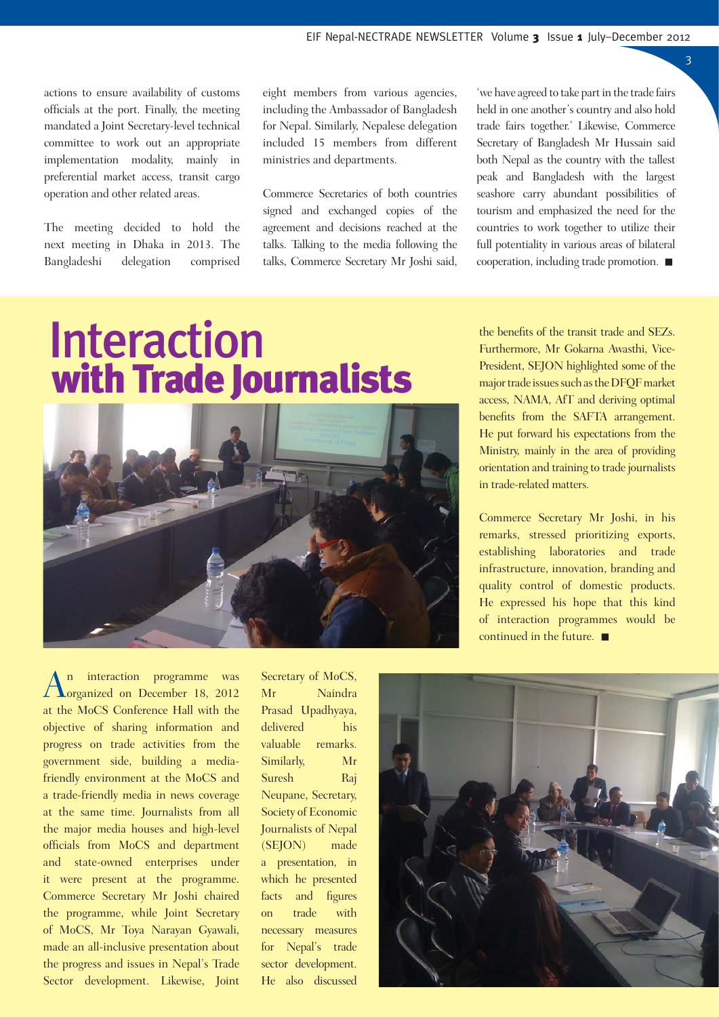actions to ensure availability of customs officials at the port. Finally, the meeting mandated a Joint Secretary-level technical committee to work out an appropriate implementation modality, mainly in preferential market access, transit cargo operation and other related areas.

The meeting decided to hold the next meeting in Dhaka in 2013. The Bangladeshi delegation comprised

eight members from various agencies, including the Ambassador of Bangladesh for Nepal. Similarly, Nepalese delegation included 15 members from different ministries and departments.

Commerce Secretaries of both countries signed and exchanged copies of the agreement and decisions reached at the talks. Talking to the media following the talks, Commerce Secretary Mr Joshi said,

'we have agreed to take part in the trade fairs held in one another's country and also hold trade fairs together.' Likewise, Commerce Secretary of Bangladesh Mr Hussain said both Nepal as the country with the tallest peak and Bangladesh with the largest seashore carry abundant possibilities of tourism and emphasized the need for the countries to work together to utilize their full potentiality in various areas of bilateral cooperation, including trade promotion.

3

### with Trade Journalists Interaction



the benefits of the transit trade and SEZs. Furthermore, Mr Gokarna Awasthi, Vice-President, SEJON highlighted some of the major trade issues such as the DFQF market access, NAMA, AfT and deriving optimal benefits from the SAFTA arrangement. He put forward his expectations from the Ministry, mainly in the area of providing orientation and training to trade journalists in trade-related matters.

Commerce Secretary Mr Joshi, in his remarks, stressed prioritizing exports, establishing laboratories and trade infrastructure, innovation, branding and quality control of domestic products. He expressed his hope that this kind of interaction programmes would be continued in the future.

An interaction programme was<br>
organized on December 18, 2012 at the MoCS Conference Hall with the objective of sharing information and progress on trade activities from the government side, building a mediafriendly environment at the MoCS and a trade-friendly media in news coverage at the same time. Journalists from all the major media houses and high-level officials from MoCS and department and state-owned enterprises under it were present at the programme. Commerce Secretary Mr Joshi chaired the programme, while Joint Secretary of MoCS, Mr Toya Narayan Gyawali, made an all-inclusive presentation about the progress and issues in Nepal's Trade Sector development. Likewise, Joint

Secretary of MoCS, Mr Naindra Prasad Upadhyaya, delivered his valuable remarks. Similarly, Mr Suresh Raj Neupane, Secretary, Society of Economic Journalists of Nepal (SEJON) made a presentation, in which he presented facts and figures on trade with necessary measures for Nepal's trade sector development. He also discussed

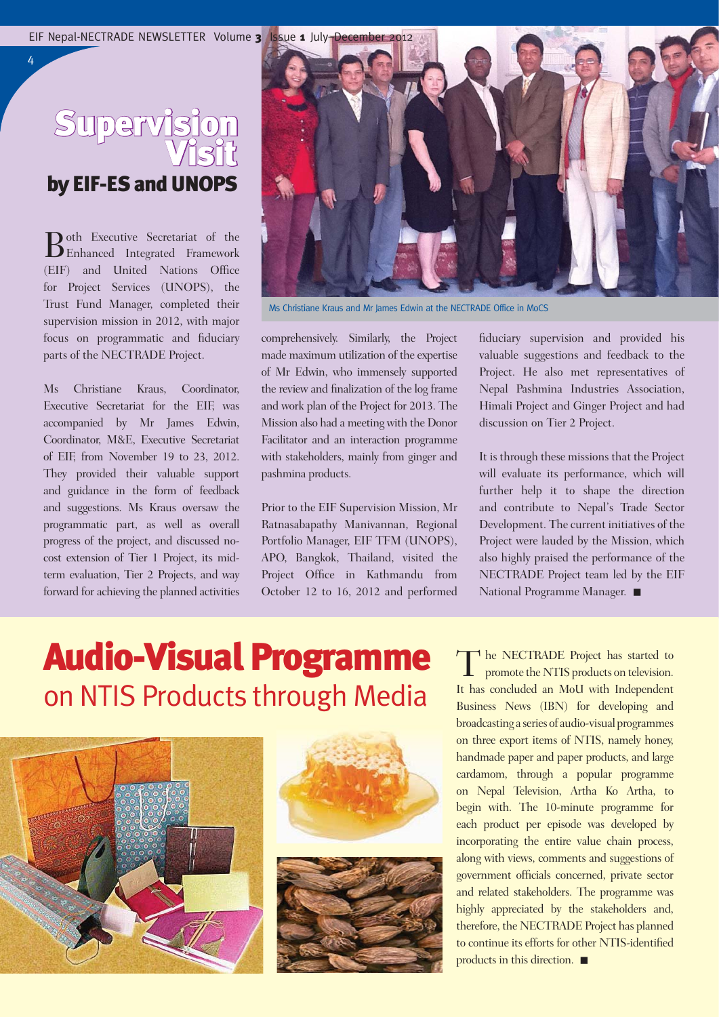4

### by EIF-ES and UNOPS Supervisi

**B**oth Executive Secretariat of the Enhanced Integrated Framework (EIF) and United Nations Office for Project Services (UNOPS), the Trust Fund Manager, completed their supervision mission in 2012, with major focus on programmatic and fiduciary parts of the NECTRADE Project.

Ms Christiane Kraus, Coordinator, Executive Secretariat for the EIF, was accompanied by Mr James Edwin, Coordinator, M&E, Executive Secretariat of EIF, from November 19 to 23, 2012. They provided their valuable support and guidance in the form of feedback and suggestions. Ms Kraus oversaw the programmatic part, as well as overall progress of the project, and discussed nocost extension of Tier 1 Project, its midterm evaluation, Tier 2 Projects, and way forward for achieving the planned activities



Ms Christiane Kraus and Mr James Edwin at the NECTRADE Office in MoCS

comprehensively. Similarly, the Project made maximum utilization of the expertise of Mr Edwin, who immensely supported the review and finalization of the log frame and work plan of the Project for 2013. The Mission also had a meeting with the Donor Facilitator and an interaction programme with stakeholders, mainly from ginger and pashmina products.

Prior to the EIF Supervision Mission, Mr Ratnasabapathy Manivannan, Regional Portfolio Manager, EIF TFM (UNOPS), APO, Bangkok, Thailand, visited the Project Office in Kathmandu from October 12 to 16, 2012 and performed fiduciary supervision and provided his valuable suggestions and feedback to the Project. He also met representatives of Nepal Pashmina Industries Association, Himali Project and Ginger Project and had discussion on Tier 2 Project.

It is through these missions that the Project will evaluate its performance, which will further help it to shape the direction and contribute to Nepal's Trade Sector Development. The current initiatives of the Project were lauded by the Mission, which also highly praised the performance of the NECTRADE Project team led by the EIF National Programme Manager. ■

### Audio-Visual Programme on NTIS Products through Media





The NECTRADE Project has started to promote the NTIS products on television. It has concluded an MoU with Independent Business News (IBN) for developing and broadcasting a series of audio-visual programmes on three export items of NTIS, namely honey, handmade paper and paper products, and large cardamom, through a popular programme on Nepal Television, Artha Ko Artha, to begin with. The 10-minute programme for each product per episode was developed by incorporating the entire value chain process, along with views, comments and suggestions of government officials concerned, private sector and related stakeholders. The programme was highly appreciated by the stakeholders and, therefore, the NECTRADE Project has planned to continue its efforts for other NTIS-identified products in this direction.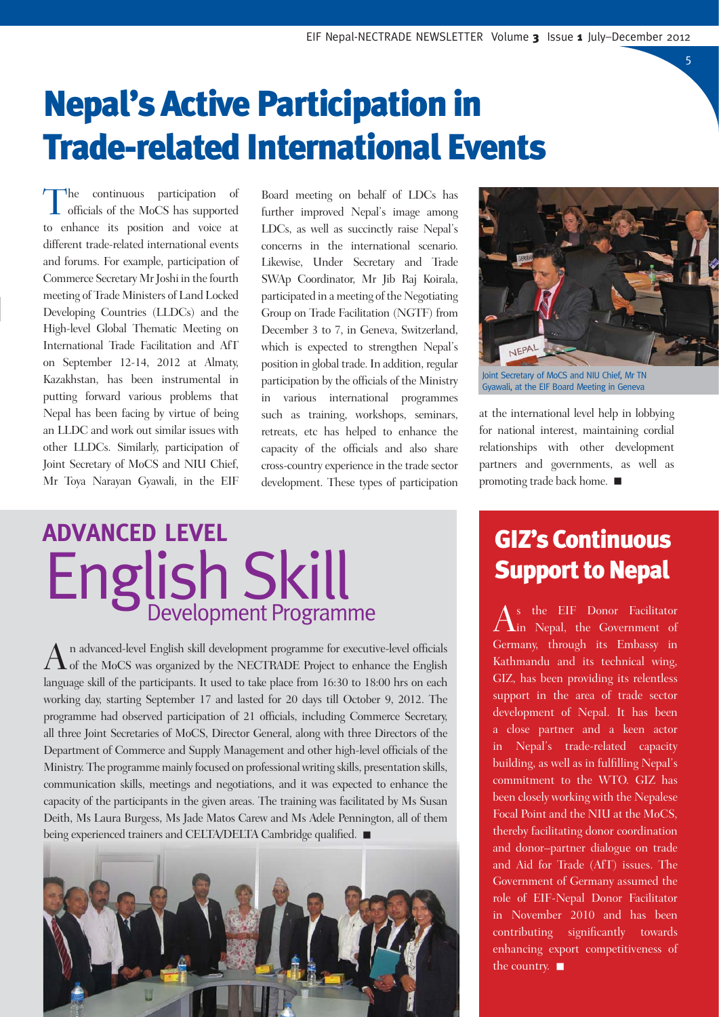### Nepal's Active Participation in Trade-related International Events

The continuous participation of officials of the MoCS has supported to enhance its position and voice at different trade-related international events and forums. For example, participation of Commerce Secretary Mr Joshi in the fourth meeting of Trade Ministers of Land Locked Developing Countries (LLDCs) and the High-level Global Thematic Meeting on International Trade Facilitation and AfT on September 12-14, 2012 at Almaty, Kazakhstan, has been instrumental in putting forward various problems that Nepal has been facing by virtue of being an LLDC and work out similar issues with other LLDCs. Similarly, participation of Joint Secretary of MoCS and NIU Chief, Mr Toya Narayan Gyawali, in the EIF

Board meeting on behalf of LDCs has further improved Nepal's image among LDCs, as well as succinctly raise Nepal's concerns in the international scenario. Likewise, Under Secretary and Trade SWAp Coordinator, Mr Jib Raj Koirala, participated in a meeting of the Negotiating Group on Trade Facilitation (NGTF) from December 3 to 7, in Geneva, Switzerland, which is expected to strengthen Nepal's position in global trade. In addition, regular participation by the officials of the Ministry in various international programmes such as training, workshops, seminars, retreats, etc has helped to enhance the capacity of the officials and also share cross-country experience in the trade sector development. These types of participation



5

Joint Secretary of MoCS and NIU Chief, Mr TN Gyawali, at the EIF Board Meeting in Geneva

at the international level help in lobbying for national interest, maintaining cordial relationships with other development partners and governments, as well as promoting trade back home.

## **ADVANCED LEVEL** English Skill

An advanced-level English skill development programme for executive-level officials of the MoCS was organized by the NECTRADE Project to enhance the English language skill of the participants. It used to take place from 16:30 to 18:00 hrs on each working day, starting September 17 and lasted for 20 days till October 9, 2012. The programme had observed participation of 21 officials, including Commerce Secretary, all three Joint Secretaries of MoCS, Director General, along with three Directors of the Department of Commerce and Supply Management and other high-level officials of the Ministry. The programme mainly focused on professional writing skills, presentation skills, communication skills, meetings and negotiations, and it was expected to enhance the capacity of the participants in the given areas. The training was facilitated by Ms Susan Deith, Ms Laura Burgess, Ms Jade Matos Carew and Ms Adele Pennington, all of them being experienced trainers and CELTA/DELTA Cambridge qualified.



#### GIZ's Continuous Support to Nepal

 $\Delta$ <sup>s</sup> the EIF Donor Facilitator<br>  $\hat{C}$  Nepal, the Government of Germany, through its Embassy in Kathmandu and its technical wing, GIZ, has been providing its relentless support in the area of trade sector development of Nepal. It has been a close partner and a keen actor in Nepal's trade-related capacity building, as well as in fulfilling Nepal's commitment to the WTO. GIZ has been closely working with the Nepalese Focal Point and the NIU at the MoCS, thereby facilitating donor coordination and donor–partner dialogue on trade and Aid for Trade (AfT) issues. The Government of Germany assumed the role of EIF-Nepal Donor Facilitator in November 2010 and has been contributing significantly towards enhancing export competitiveness of the country.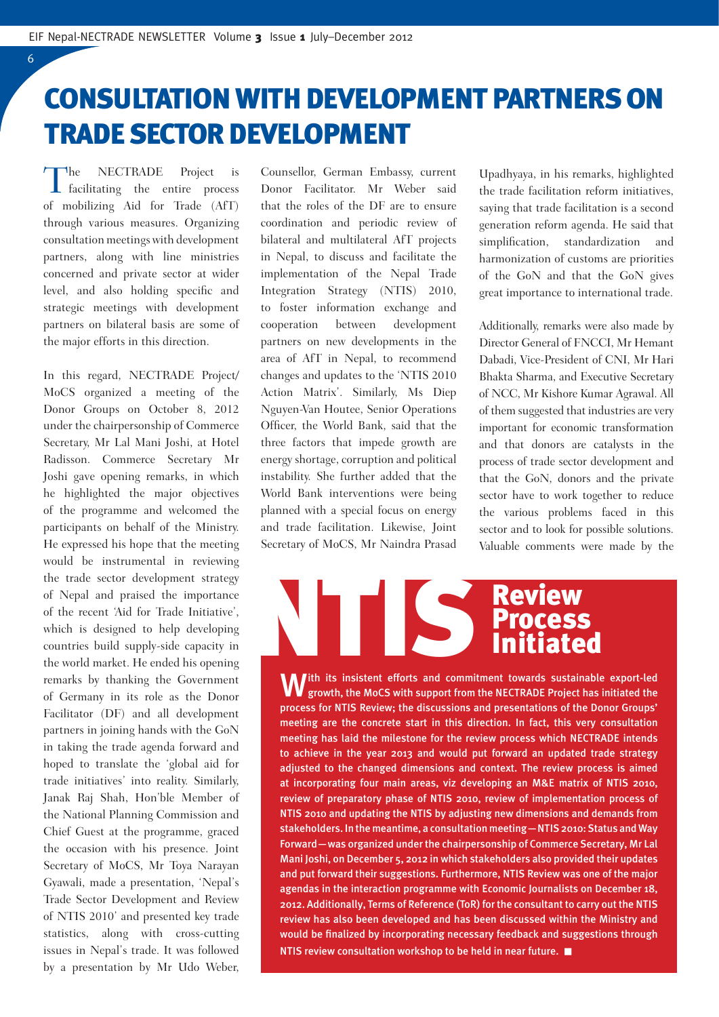#### CONSULTATION WITH DEVELOPMENT PARTNERS ON TRADE SECTOR DEVELOPMENT

The NECTRADE Project is<br>
facilitating the entire process of mobilizing Aid for Trade (AfT) through various measures. Organizing consultation meetings with development partners, along with line ministries concerned and private sector at wider level, and also holding specific and strategic meetings with development partners on bilateral basis are some of the major efforts in this direction.

6

In this regard, NECTRADE Project/ MoCS organized a meeting of the Donor Groups on October 8, 2012 under the chairpersonship of Commerce Secretary, Mr Lal Mani Joshi, at Hotel Radisson. Commerce Secretary Mr Joshi gave opening remarks, in which he highlighted the major objectives of the programme and welcomed the participants on behalf of the Ministry. He expressed his hope that the meeting would be instrumental in reviewing the trade sector development strategy of Nepal and praised the importance of the recent 'Aid for Trade Initiative', which is designed to help developing countries build supply-side capacity in the world market. He ended his opening remarks by thanking the Government of Germany in its role as the Donor Facilitator (DF) and all development partners in joining hands with the GoN in taking the trade agenda forward and hoped to translate the 'global aid for trade initiatives' into reality. Similarly, Janak Raj Shah, Hon'ble Member of the National Planning Commission and Chief Guest at the programme, graced the occasion with his presence. Joint Secretary of MoCS, Mr Toya Narayan Gyawali, made a presentation, 'Nepal's Trade Sector Development and Review of NTIS 2010' and presented key trade statistics, along with cross-cutting issues in Nepal's trade. It was followed by a presentation by Mr Udo Weber,

Counsellor, German Embassy, current Donor Facilitator. Mr Weber said that the roles of the DF are to ensure coordination and periodic review of bilateral and multilateral AfT projects in Nepal, to discuss and facilitate the implementation of the Nepal Trade Integration Strategy (NTIS) 2010, to foster information exchange and cooperation between development partners on new developments in the area of AfT in Nepal, to recommend changes and updates to the 'NTIS 2010 Action Matrix'. Similarly, Ms Diep Nguyen-Van Houtee, Senior Operations Officer, the World Bank, said that the three factors that impede growth are energy shortage, corruption and political instability. She further added that the World Bank interventions were being planned with a special focus on energy and trade facilitation. Likewise, Joint Secretary of MoCS, Mr Naindra Prasad

Upadhyaya, in his remarks, highlighted the trade facilitation reform initiatives, saying that trade facilitation is a second generation reform agenda. He said that simplification, standardization and harmonization of customs are priorities of the GoN and that the GoN gives great importance to international trade.

Additionally, remarks were also made by Director General of FNCCI, Mr Hemant Dabadi, Vice-President of CNI, Mr Hari Bhakta Sharma, and Executive Secretary of NCC, Mr Kishore Kumar Agrawal. All of them suggested that industries are very important for economic transformation and that donors are catalysts in the process of trade sector development and that the GoN, donors and the private sector have to work together to reduce the various problems faced in this sector and to look for possible solutions. Valuable comments were made by the

**Review** 

**Process** 

With its insistent efforts and commitment towards sustainable export-led growth, the MoCS with support from the NECTRADE Project has initiated the process for NTIS Review; the discussions and presentations of the Donor Groups' meeting are the concrete start in this direction. In fact, this very consultation meeting has laid the milestone for the review process which NECTRADE intends to achieve in the year 2013 and would put forward an updated trade strategy adjusted to the changed dimensions and context. The review process is aimed at incorporating four main areas, viz developing an M&E matrix of NTIS 2010, review of preparatory phase of NTIS 2010, review of implementation process of NTIS 2010 and updating the NTIS by adjusting new dimensions and demands from stakeholders. In the meantime, a consultation meeting—NTIS 2010: Status and Way Forward—was organized under the chairpersonship of Commerce Secretary, Mr Lal Mani Joshi, on December 5, 2012 in which stakeholders also provided their updates and put forward their suggestions. Furthermore, NTIS Review was one of the major agendas in the interaction programme with Economic Journalists on December 18, 2012. Additionally, Terms of Reference (ToR) for the consultant to carry out the NTIS review has also been developed and has been discussed within the Ministry and would be finalized by incorporating necessary feedback and suggestions through NTIS review consultation workshop to be held in near future. NTIS IN STRAIGHT OF ONE ONLY 1 Initiated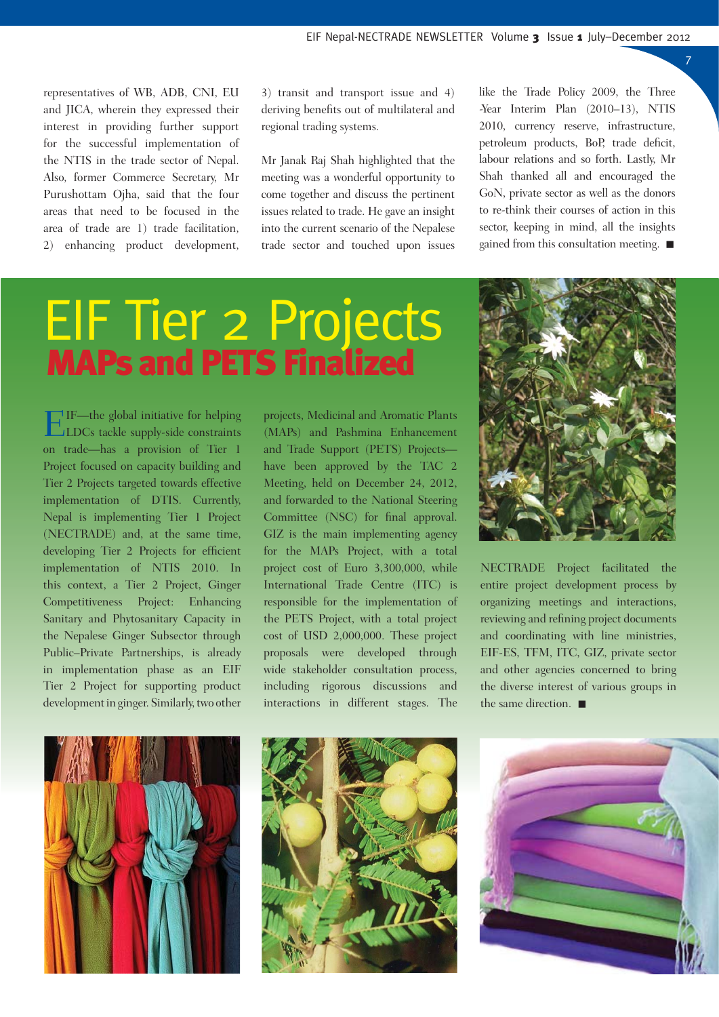representatives of WB, ADB, CNI, EU and JICA, wherein they expressed their interest in providing further support for the successful implementation of the NTIS in the trade sector of Nepal. Also, former Commerce Secretary, Mr Purushottam Ojha, said that the four areas that need to be focused in the area of trade are 1) trade facilitation, 2) enhancing product development,

3) transit and transport issue and 4) deriving benefits out of multilateral and regional trading systems.

Mr Janak Raj Shah highlighted that the meeting was a wonderful opportunity to come together and discuss the pertinent issues related to trade. He gave an insight into the current scenario of the Nepalese trade sector and touched upon issues like the Trade Policy 2009, the Three -Year Interim Plan (2010–13), NTIS 2010, currency reserve, infrastructure, petroleum products, BoP, trade deficit, labour relations and so forth. Lastly, Mr Shah thanked all and encouraged the GoN, private sector as well as the donors to re-think their courses of action in this sector, keeping in mind, all the insights gained from this consultation meeting. ■

7

### EIF Tier 2 Projects MAPs and PETS Finalized

**E**IF—the global initiative for helping LDCs tackle supply-side constraints on trade—has a provision of Tier 1 Project focused on capacity building and Tier 2 Projects targeted towards effective implementation of DTIS. Currently, Nepal is implementing Tier 1 Project (NECTRADE) and, at the same time, developing Tier 2 Projects for efficient implementation of NTIS 2010. In this context, a Tier 2 Project, Ginger Competitiveness Project: Enhancing Sanitary and Phytosanitary Capacity in the Nepalese Ginger Subsector through Public–Private Partnerships, is already in implementation phase as an EIF Tier 2 Project for supporting product development in ginger. Similarly, two other

projects, Medicinal and Aromatic Plants (MAPs) and Pashmina Enhancement and Trade Support (PETS) Projects have been approved by the TAC 2 Meeting, held on December 24, 2012, and forwarded to the National Steering Committee (NSC) for final approval. GIZ is the main implementing agency for the MAPs Project, with a total project cost of Euro 3,300,000, while International Trade Centre (ITC) is responsible for the implementation of the PETS Project, with a total project cost of USD 2,000,000. These project proposals were developed through wide stakeholder consultation process, including rigorous discussions and interactions in different stages. The



NECTRADE Project facilitated the entire project development process by organizing meetings and interactions, reviewing and refining project documents and coordinating with line ministries, EIF-ES, TFM, ITC, GIZ, private sector and other agencies concerned to bring the diverse interest of various groups in the same direction.





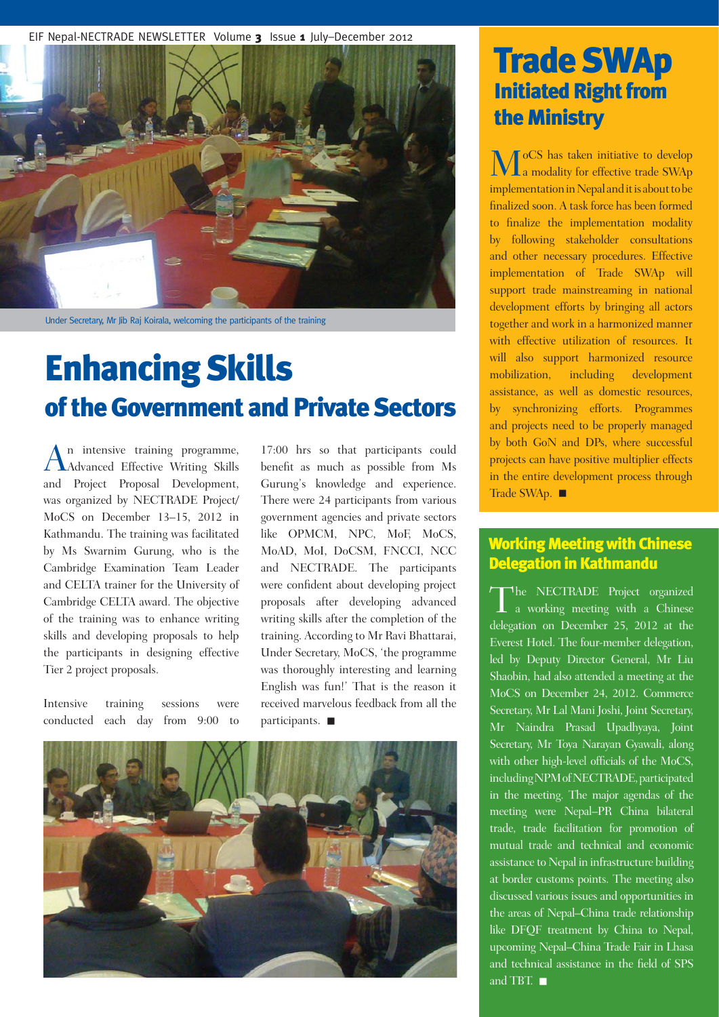EIF Nepal-NECTRADE NEWSLETTER Volume **3** Issue 1 July–December 2012



Under Secretary, Mr Jib Raj Koirala, welcoming the participants of the training

### Enhancing Skills of the Government and Private Sectors

An intensive training programme, Advanced Effective Writing Skills and Project Proposal Development, was organized by NECTRADE Project/ MoCS on December 13–15, 2012 in Kathmandu. The training was facilitated by Ms Swarnim Gurung, who is the Cambridge Examination Team Leader and CELTA trainer for the University of Cambridge CELTA award. The objective of the training was to enhance writing skills and developing proposals to help the participants in designing effective Tier 2 project proposals.

Intensive training sessions were conducted each day from 9:00 to

17:00 hrs so that participants could benefit as much as possible from Ms Gurung's knowledge and experience. There were 24 participants from various government agencies and private sectors like OPMCM, NPC, MoF, MoCS, MoAD, MoI, DoCSM, FNCCI, NCC and NECTRADE. The participants were confident about developing project proposals after developing advanced writing skills after the completion of the training. According to Mr Ravi Bhattarai, Under Secretary, MoCS, 'the programme was thoroughly interesting and learning English was fun!' That is the reason it received marvelous feedback from all the participants.



#### Trade SWAp Initiated Right from the Ministry

MoCS has taken initiative to develop<br>a modality for effective trade SWAp implementation in Nepal and it is about to be finalized soon. A task force has been formed to finalize the implementation modality by following stakeholder consultations and other necessary procedures. Effective implementation of Trade SWAp will support trade mainstreaming in national development efforts by bringing all actors together and work in a harmonized manner with effective utilization of resources. It will also support harmonized resource mobilization, including development assistance, as well as domestic resources, by synchronizing efforts. Programmes and projects need to be properly managed by both GoN and DPs, where successful projects can have positive multiplier effects in the entire development process through Trade SWAp. ■

#### Working Meeting with Chinese Delegation in Kathmandu

The NECTRADE Project organized<br>a working meeting with a Chinese delegation on December 25, 2012 at the Everest Hotel. The four-member delegation, led by Deputy Director General, Mr Liu Shaobin, had also attended a meeting at the MoCS on December 24, 2012. Commerce Secretary, Mr Lal Mani Joshi, Joint Secretary, Mr Naindra Prasad Upadhyaya, Joint Secretary, Mr Toya Narayan Gyawali, along with other high-level officials of the MoCS, including NPM of NECTRADE, participated in the meeting. The major agendas of the meeting were Nepal–PR China bilateral trade, trade facilitation for promotion of mutual trade and technical and economic assistance to Nepal in infrastructure building at border customs points. The meeting also discussed various issues and opportunities in the areas of Nepal–China trade relationship like DFQF treatment by China to Nepal, upcoming Nepal–China Trade Fair in Lhasa and technical assistance in the field of SPS and TBT.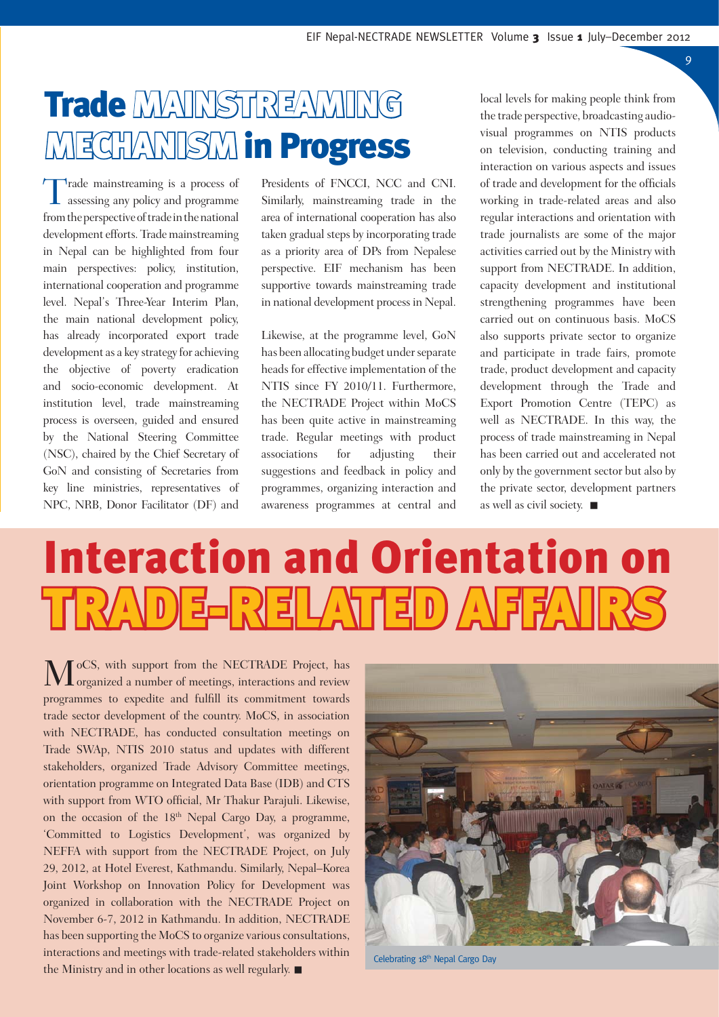### Trade MAINSTREAMING MECHANISM in Progress

Trade mainstreaming is a process of assessing any policy and programme from the perspective of trade in the national development efforts. Trade mainstreaming in Nepal can be highlighted from four main perspectives: policy, institution, international cooperation and programme level. Nepal's Three-Year Interim Plan, the main national development policy, has already incorporated export trade development as a key strategy for achieving the objective of poverty eradication and socio-economic development. At institution level, trade mainstreaming process is overseen, guided and ensured by the National Steering Committee (NSC), chaired by the Chief Secretary of GoN and consisting of Secretaries from key line ministries, representatives of NPC, NRB, Donor Facilitator (DF) and

Presidents of FNCCI, NCC and CNI. Similarly, mainstreaming trade in the area of international cooperation has also taken gradual steps by incorporating trade as a priority area of DPs from Nepalese perspective. EIF mechanism has been supportive towards mainstreaming trade in national development process in Nepal.

Likewise, at the programme level, GoN has been allocating budget under separate heads for effective implementation of the NTIS since FY 2010/11. Furthermore, the NECTRADE Project within MoCS has been quite active in mainstreaming trade. Regular meetings with product associations for adjusting their suggestions and feedback in policy and programmes, organizing interaction and awareness programmes at central and local levels for making people think from the trade perspective, broadcasting audiovisual programmes on NTIS products on television, conducting training and interaction on various aspects and issues of trade and development for the officials working in trade-related areas and also regular interactions and orientation with trade journalists are some of the major activities carried out by the Ministry with support from NECTRADE. In addition, capacity development and institutional strengthening programmes have been carried out on continuous basis. MoCS also supports private sector to organize and participate in trade fairs, promote trade, product development and capacity development through the Trade and Export Promotion Centre (TEPC) as well as NECTRADE. In this way, the process of trade mainstreaming in Nepal has been carried out and accelerated not only by the government sector but also by the private sector, development partners as well as civil society.

9

## Interaction and Orientation on  $\left\lceil \frac{1}{2}\right\rceil$   $\left\lfloor \frac{1}{2}\right\rfloor$   $\left\lfloor \frac{1}{2}\right\rfloor$   $\left\lfloor \frac{1}{2}\right\rfloor$   $\left\lfloor \frac{1}{2}\right\rfloor$   $\left\lfloor \frac{1}{2}\right\rfloor$   $\left\lfloor \frac{1}{2}\right\rfloor$   $\left\lfloor \frac{1}{2}\right\rfloor$

MoCS, with support from the NECTRADE Project, has organized a number of meetings, interactions and review programmes to expedite and fulfill its commitment towards trade sector development of the country. MoCS, in association with NECTRADE, has conducted consultation meetings on Trade SWAp, NTIS 2010 status and updates with different stakeholders, organized Trade Advisory Committee meetings, orientation programme on Integrated Data Base (IDB) and CTS with support from WTO official, Mr Thakur Parajuli. Likewise, on the occasion of the 18<sup>th</sup> Nepal Cargo Day, a programme, 'Committed to Logistics Development', was organized by NEFFA with support from the NECTRADE Project, on July 29, 2012, at Hotel Everest, Kathmandu. Similarly, Nepal–Korea Joint Workshop on Innovation Policy for Development was organized in collaboration with the NECTRADE Project on November 6-7, 2012 in Kathmandu. In addition, NECTRADE has been supporting the MoCS to organize various consultations, interactions and meetings with trade-related stakeholders within the Ministry and in other locations as well regularly.



Celebrating 18<sup>th</sup> Nepal Cargo Day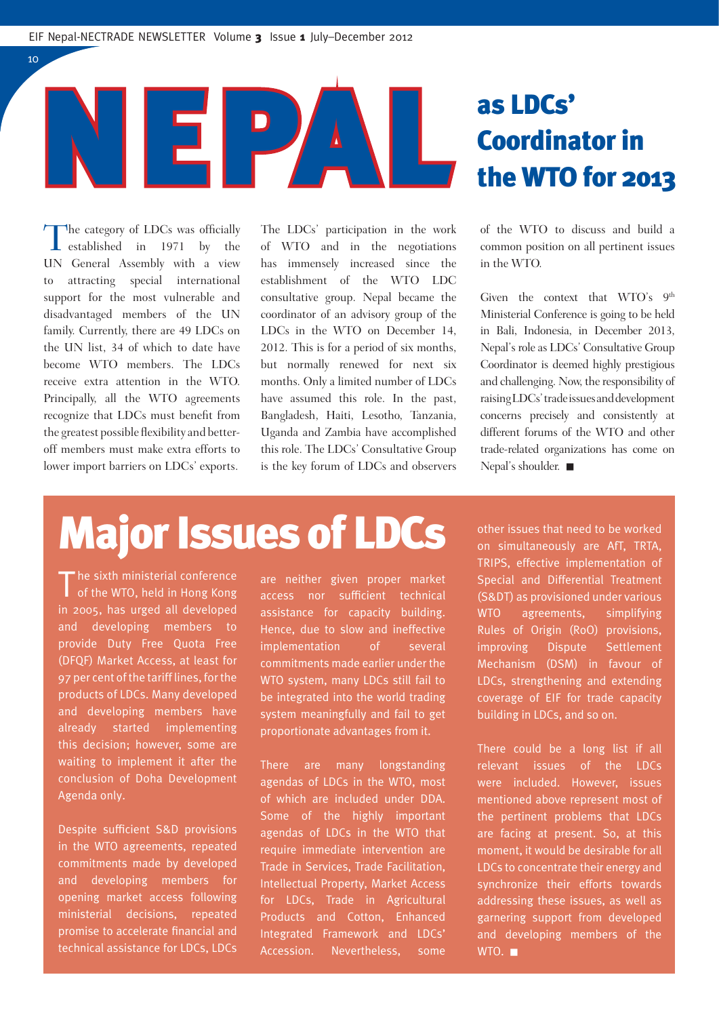

The category of LDCs was officially<br>established in 1971 by the<br> $\frac{1}{2}$ UN General Assembly with a view to attracting special international support for the most vulnerable and disadvantaged members of the UN family. Currently, there are 49 LDCs on the UN list, 34 of which to date have become WTO members. The LDCs receive extra attention in the WTO. Principally, all the WTO agreements recognize that LDCs must benefit from the greatest possible flexibility and betteroff members must make extra efforts to lower import barriers on LDCs' exports.

10

The LDCs' participation in the work of WTO and in the negotiations has immensely increased since the establishment of the WTO LDC consultative group. Nepal became the coordinator of an advisory group of the LDCs in the WTO on December 14, 2012. This is for a period of six months, but normally renewed for next six months. Only a limited number of LDCs have assumed this role. In the past, Bangladesh, Haiti, Lesotho, Tanzania, Uganda and Zambia have accomplished this role. The LDCs' Consultative Group is the key forum of LDCs and observers

### as LDCs' Coordinator in the WTO for 2013

of the WTO to discuss and build a common position on all pertinent issues in the WTO.

Given the context that WTO's 9<sup>th</sup> Ministerial Conference is going to be held in Bali, Indonesia, in December 2013, Nepal's role as LDCs' Consultative Group Coordinator is deemed highly prestigious and challenging. Now, the responsibility of raising LDCs' trade issues and development concerns precisely and consistently at different forums of the WTO and other trade-related organizations has come on Nepal's shoulder. ■

### Major Issues of LDCs

The sixth ministerial conference of the WTO, held in Hong Kong in 2005, has urged all developed and developing members to provide Duty Free Quota Free (DFQF) Market Access, at least for 97 per cent of the tariff lines, for the products of LDCs. Many developed and developing members have already started implementing this decision; however, some are waiting to implement it after the conclusion of Doha Development Agenda only.

Despite sufficient S&D provisions in the WTO agreements, repeated commitments made by developed and developing members for opening market access following ministerial decisions, repeated promise to accelerate financial and technical assistance for LDCs, LDCs are neither given proper market access nor sufficient technical assistance for capacity building. Hence, due to slow and ineffective implementation of several commitments made earlier under the WTO system, many LDCs still fail to be integrated into the world trading system meaningfully and fail to get proportionate advantages from it.

There are many longstanding agendas of LDCs in the WTO, most of which are included under DDA. Some of the highly important agendas of LDCs in the WTO that require immediate intervention are Trade in Services, Trade Facilitation, Intellectual Property, Market Access for LDCs, Trade in Agricultural Products and Cotton, Enhanced Integrated Framework and LDCs' Accession. Nevertheless, some

other issues that need to be worked on simultaneously are AfT, TRTA, TRIPS, effective implementation of Special and Differential Treatment (S&DT) as provisioned under various WTO agreements, simplifying Rules of Origin (RoO) provisions, improving Dispute Settlement Mechanism (DSM) in favour of LDCs, strengthening and extending coverage of EIF for trade capacity building in LDCs, and so on.

There could be a long list if all relevant issues of the LDCs were included. However, issues mentioned above represent most of the pertinent problems that LDCs are facing at present. So, at this moment, it would be desirable for all LDCs to concentrate their energy and synchronize their efforts towards addressing these issues, as well as garnering support from developed and developing members of the WTO.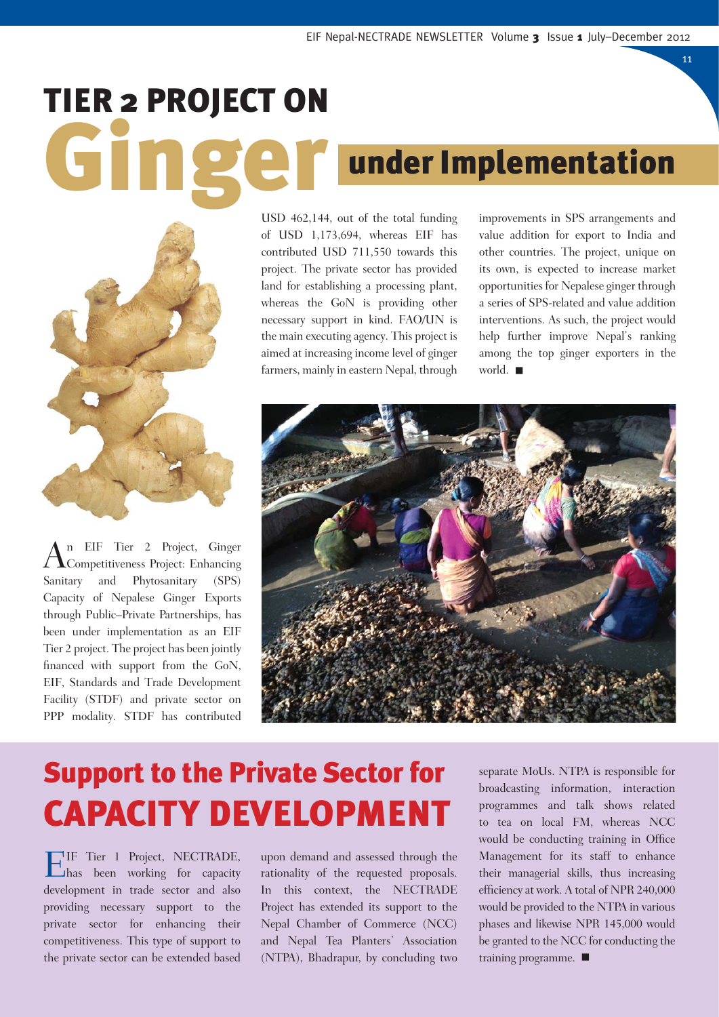under Implementation

# Ginger TIER 2 PROJECT ON



An EIF Tier 2 Project, Ginger<br>Competitiveness Project: Enhancing Sanitary and Phytosanitary (SPS) Capacity of Nepalese Ginger Exports through Public–Private Partnerships, has been under implementation as an EIF Tier 2 project. The project has been jointly financed with support from the GoN, EIF, Standards and Trade Development Facility (STDF) and private sector on PPP modality. STDF has contributed

of USD 1,173,694, whereas EIF has contributed USD 711,550 towards this project. The private sector has provided land for establishing a processing plant, whereas the GoN is providing other necessary support in kind. FAO/UN is the main executing agency. This project is aimed at increasing income level of ginger farmers, mainly in eastern Nepal, through

USD 462,144, out of the total funding

improvements in SPS arrangements and value addition for export to India and other countries. The project, unique on its own, is expected to increase market opportunities for Nepalese ginger through a series of SPS-related and value addition interventions. As such, the project would help further improve Nepal's ranking among the top ginger exporters in the world.

11



### Support to the Private Sector for CAPACITY DEVELOPMENT

EIF Tier 1 Project, NECTRADE, has been working for capacity development in trade sector and also providing necessary support to the private sector for enhancing their competitiveness. This type of support to the private sector can be extended based

upon demand and assessed through the rationality of the requested proposals. In this context, the NECTRADE Project has extended its support to the Nepal Chamber of Commerce (NCC) and Nepal Tea Planters' Association (NTPA), Bhadrapur, by concluding two

separate MoUs. NTPA is responsible for broadcasting information, interaction programmes and talk shows related to tea on local FM, whereas NCC would be conducting training in Office Management for its staff to enhance their managerial skills, thus increasing efficiency at work. A total of NPR 240,000 would be provided to the NTPA in various phases and likewise NPR 145,000 would be granted to the NCC for conducting the training programme.